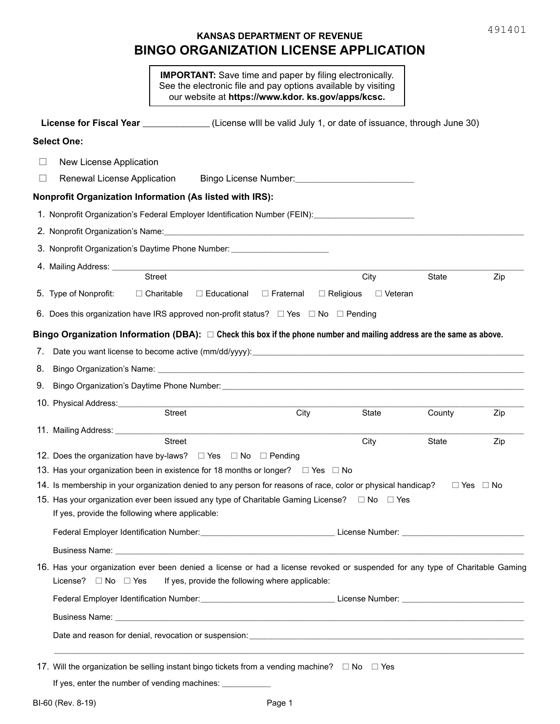# **KANSAS DEPARTMENT OF REVENUE BINGO ORGANIZATION LICENSE APPLICATION**

|                                                                                                                                                                       | <b>IMPORTANT:</b> Save time and paper by filing electronically.<br>See the electronic file and pay options available by visiting<br>our website at https://www.kdor. ks.gov/apps/kcsc. |                                    |        |                      |
|-----------------------------------------------------------------------------------------------------------------------------------------------------------------------|----------------------------------------------------------------------------------------------------------------------------------------------------------------------------------------|------------------------------------|--------|----------------------|
| License for Fiscal Year ______________(License will be valid July 1, or date of issuance, through June 30)                                                            |                                                                                                                                                                                        |                                    |        |                      |
| <b>Select One:</b>                                                                                                                                                    |                                                                                                                                                                                        |                                    |        |                      |
| New License Application                                                                                                                                               |                                                                                                                                                                                        |                                    |        |                      |
| Renewal License Application<br>$\vert \ \ \vert$                                                                                                                      |                                                                                                                                                                                        |                                    |        |                      |
| <b>Nonprofit Organization Information (As listed with IRS):</b>                                                                                                       |                                                                                                                                                                                        |                                    |        |                      |
| 1. Nonprofit Organization's Federal Employer Identification Number (FEIN): [1994] - [1994] 1. Nonprofit Organization's Federal Employer Identification Number (FEIN): |                                                                                                                                                                                        |                                    |        |                      |
|                                                                                                                                                                       |                                                                                                                                                                                        |                                    |        |                      |
|                                                                                                                                                                       |                                                                                                                                                                                        |                                    |        |                      |
| 4. Mailing Address: ___________<br><b>Street</b>                                                                                                                      |                                                                                                                                                                                        | City                               | State  | Zip                  |
| 5. Type of Nonprofit:<br>$\Box$ Charitable                                                                                                                            | $\Box$ Educational<br>$\Box$ Fraternal                                                                                                                                                 | $\Box$ Religious<br>$\Box$ Veteran |        |                      |
| 6. Does this organization have IRS approved non-profit status? $\square$ Yes $\square$ No $\square$ Pending                                                           |                                                                                                                                                                                        |                                    |        |                      |
|                                                                                                                                                                       |                                                                                                                                                                                        |                                    |        |                      |
| Bingo Organization Information (DBA): $\Box$ Check this box if the phone number and mailing address are the same as above.                                            |                                                                                                                                                                                        |                                    |        |                      |
| 7.<br>8.                                                                                                                                                              |                                                                                                                                                                                        |                                    |        |                      |
| 9.                                                                                                                                                                    |                                                                                                                                                                                        |                                    |        |                      |
|                                                                                                                                                                       |                                                                                                                                                                                        |                                    |        |                      |
| <b>Street</b>                                                                                                                                                         | City                                                                                                                                                                                   | State                              | County | Zip                  |
| 11. Mailing Address: __________                                                                                                                                       |                                                                                                                                                                                        |                                    |        |                      |
| <b>Street</b><br>12. Does the organization have by-laws? $\square$ Yes $\square$ No $\square$ Pending                                                                 |                                                                                                                                                                                        | City                               | State  | Zip                  |
| 13. Has your organization been in existence for 18 months or longer? □ Yes □ No                                                                                       |                                                                                                                                                                                        |                                    |        |                      |
| 14. Is membership in your organization denied to any person for reasons of race, color or physical handicap?                                                          |                                                                                                                                                                                        |                                    |        | $\Box$ Yes $\Box$ No |
| 15. Has your organization ever been issued any type of Charitable Gaming License? □ No □ Yes                                                                          |                                                                                                                                                                                        |                                    |        |                      |
| If yes, provide the following where applicable:                                                                                                                       |                                                                                                                                                                                        |                                    |        |                      |
|                                                                                                                                                                       |                                                                                                                                                                                        |                                    |        |                      |
|                                                                                                                                                                       |                                                                                                                                                                                        |                                    |        |                      |
| 16. Has your organization ever been denied a license or had a license revoked or suspended for any type of Charitable Gaming<br>License? $\Box$ No $\Box$ Yes         | If yes, provide the following where applicable:                                                                                                                                        |                                    |        |                      |
|                                                                                                                                                                       |                                                                                                                                                                                        |                                    |        |                      |
|                                                                                                                                                                       |                                                                                                                                                                                        |                                    |        |                      |
|                                                                                                                                                                       |                                                                                                                                                                                        |                                    |        |                      |
| 17. Will the organization be selling instant bingo tickets from a vending machine? □ No □ Yes<br>If yes, enter the number of vending machines: ____________           |                                                                                                                                                                                        |                                    |        |                      |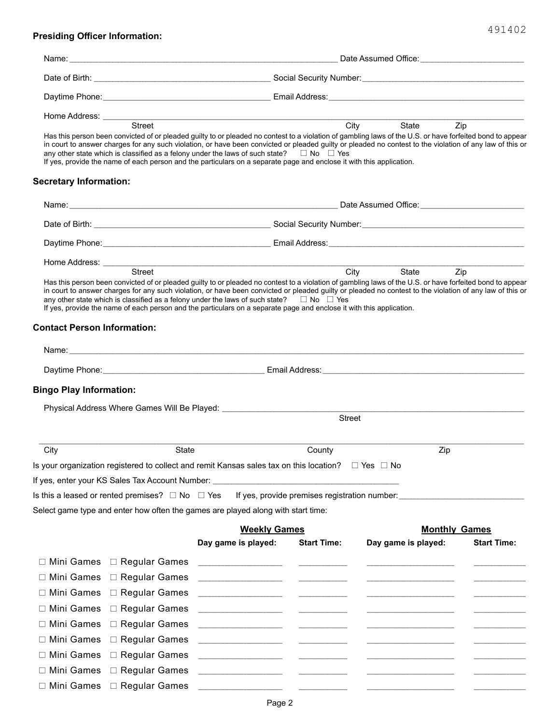## **Presiding Officer Information:**

|                                    | Street                                                    | any other state which is classified as a felony under the laws of such state? $\square$ No $\square$ Yes<br>If yes, provide the name of each person and the particulars on a separate page and enclose it with this application. |                                                                                                                                                                                                                                                                                                                                                                                                                                                                                        | City<br>State<br>Has this person been convicted of or pleaded guilty to or pleaded no contest to a violation of gambling laws of the U.S. or have forfeited bond to appear<br>in court to answer charges for any such violation, or have been convicted or pleaded guilty or pleaded no contest to the violation of any law of this or | Zip                  |
|------------------------------------|-----------------------------------------------------------|----------------------------------------------------------------------------------------------------------------------------------------------------------------------------------------------------------------------------------|----------------------------------------------------------------------------------------------------------------------------------------------------------------------------------------------------------------------------------------------------------------------------------------------------------------------------------------------------------------------------------------------------------------------------------------------------------------------------------------|----------------------------------------------------------------------------------------------------------------------------------------------------------------------------------------------------------------------------------------------------------------------------------------------------------------------------------------|----------------------|
| <b>Secretary Information:</b>      |                                                           |                                                                                                                                                                                                                                  |                                                                                                                                                                                                                                                                                                                                                                                                                                                                                        |                                                                                                                                                                                                                                                                                                                                        |                      |
|                                    |                                                           |                                                                                                                                                                                                                                  |                                                                                                                                                                                                                                                                                                                                                                                                                                                                                        |                                                                                                                                                                                                                                                                                                                                        |                      |
|                                    |                                                           |                                                                                                                                                                                                                                  |                                                                                                                                                                                                                                                                                                                                                                                                                                                                                        |                                                                                                                                                                                                                                                                                                                                        |                      |
|                                    |                                                           |                                                                                                                                                                                                                                  |                                                                                                                                                                                                                                                                                                                                                                                                                                                                                        | Daytime Phone: Contract of Contract of Contract of Contract Contract Contract Contract Contract Contract Contract Contract Contract Contract Contract Contract Contract Contract Contract Contract Contract Contract Contract                                                                                                          |                      |
| Home Address: ________             |                                                           | <u> 1989 - Johann Stoff, amerikansk politiker (* 1908)</u>                                                                                                                                                                       |                                                                                                                                                                                                                                                                                                                                                                                                                                                                                        |                                                                                                                                                                                                                                                                                                                                        |                      |
|                                    | Street                                                    | any other state which is classified as a felony under the laws of such state? $\square$ No $\square$ Yes<br>If yes, provide the name of each person and the particulars on a separate page and enclose it with this application. |                                                                                                                                                                                                                                                                                                                                                                                                                                                                                        | City<br>State<br>Has this person been convicted of or pleaded guilty to or pleaded no contest to a violation of gambling laws of the U.S. or have forfeited bond to appear<br>in court to answer charges for any such violation, or have been convicted or pleaded guilty or pleaded no contest to the violation of any law of this or | Zip                  |
| <b>Contact Person Information:</b> |                                                           |                                                                                                                                                                                                                                  |                                                                                                                                                                                                                                                                                                                                                                                                                                                                                        |                                                                                                                                                                                                                                                                                                                                        |                      |
|                                    |                                                           |                                                                                                                                                                                                                                  |                                                                                                                                                                                                                                                                                                                                                                                                                                                                                        |                                                                                                                                                                                                                                                                                                                                        |                      |
|                                    |                                                           |                                                                                                                                                                                                                                  |                                                                                                                                                                                                                                                                                                                                                                                                                                                                                        |                                                                                                                                                                                                                                                                                                                                        |                      |
| <b>Bingo Play Information:</b>     |                                                           |                                                                                                                                                                                                                                  |                                                                                                                                                                                                                                                                                                                                                                                                                                                                                        |                                                                                                                                                                                                                                                                                                                                        |                      |
|                                    |                                                           | Physical Address Where Games Will Be Played: ___________________________________                                                                                                                                                 |                                                                                                                                                                                                                                                                                                                                                                                                                                                                                        |                                                                                                                                                                                                                                                                                                                                        |                      |
|                                    |                                                           |                                                                                                                                                                                                                                  | <b>Street</b>                                                                                                                                                                                                                                                                                                                                                                                                                                                                          |                                                                                                                                                                                                                                                                                                                                        |                      |
| City                               | State                                                     |                                                                                                                                                                                                                                  | County                                                                                                                                                                                                                                                                                                                                                                                                                                                                                 | Zip                                                                                                                                                                                                                                                                                                                                    |                      |
|                                    |                                                           | Is your organization registered to collect and remit Kansas sales tax on this location? $\square$ Yes $\square$ No                                                                                                               |                                                                                                                                                                                                                                                                                                                                                                                                                                                                                        |                                                                                                                                                                                                                                                                                                                                        |                      |
|                                    |                                                           | If yes, enter your KS Sales Tax Account Number: ________________________________                                                                                                                                                 |                                                                                                                                                                                                                                                                                                                                                                                                                                                                                        |                                                                                                                                                                                                                                                                                                                                        |                      |
|                                    | Is this a leased or rented premises? $\Box$ No $\Box$ Yes |                                                                                                                                                                                                                                  | If yes, provide premises registration number:                                                                                                                                                                                                                                                                                                                                                                                                                                          |                                                                                                                                                                                                                                                                                                                                        |                      |
|                                    |                                                           | Select game type and enter how often the games are played along with start time:                                                                                                                                                 |                                                                                                                                                                                                                                                                                                                                                                                                                                                                                        |                                                                                                                                                                                                                                                                                                                                        |                      |
|                                    |                                                           | <b>Weekly Games</b>                                                                                                                                                                                                              |                                                                                                                                                                                                                                                                                                                                                                                                                                                                                        |                                                                                                                                                                                                                                                                                                                                        | <b>Monthly Games</b> |
|                                    |                                                           | Day game is played:                                                                                                                                                                                                              | <b>Start Time:</b>                                                                                                                                                                                                                                                                                                                                                                                                                                                                     | Day game is played:                                                                                                                                                                                                                                                                                                                    | <b>Start Time:</b>   |
| □ Mini Games                       | □ Regular Games                                           |                                                                                                                                                                                                                                  |                                                                                                                                                                                                                                                                                                                                                                                                                                                                                        |                                                                                                                                                                                                                                                                                                                                        |                      |
| □ Mini Games                       | □ Regular Games                                           |                                                                                                                                                                                                                                  | $\begin{array}{cccccccccc} \multicolumn{2}{c}{} & \multicolumn{2}{c}{} & \multicolumn{2}{c}{} & \multicolumn{2}{c}{} & \multicolumn{2}{c}{} & \multicolumn{2}{c}{} & \multicolumn{2}{c}{} & \multicolumn{2}{c}{} & \multicolumn{2}{c}{} & \multicolumn{2}{c}{} & \multicolumn{2}{c}{} & \multicolumn{2}{c}{} & \multicolumn{2}{c}{} & \multicolumn{2}{c}{} & \multicolumn{2}{c}{} & \multicolumn{2}{c}{} & \multicolumn{2}{c}{} & \multicolumn{2}{c}{} & \multicolumn{2}{c}{} & \mult$ |                                                                                                                                                                                                                                                                                                                                        |                      |
| Mini Games                         | □ Regular Games                                           |                                                                                                                                                                                                                                  |                                                                                                                                                                                                                                                                                                                                                                                                                                                                                        |                                                                                                                                                                                                                                                                                                                                        |                      |
| □ Mini Games                       | □ Regular Games                                           |                                                                                                                                                                                                                                  | $\begin{array}{cccccccccc} \multicolumn{2}{c}{} & \multicolumn{2}{c}{} & \multicolumn{2}{c}{} & \multicolumn{2}{c}{} & \multicolumn{2}{c}{} & \multicolumn{2}{c}{} & \multicolumn{2}{c}{} & \multicolumn{2}{c}{} & \multicolumn{2}{c}{} & \multicolumn{2}{c}{} & \multicolumn{2}{c}{} & \multicolumn{2}{c}{} & \multicolumn{2}{c}{} & \multicolumn{2}{c}{} & \multicolumn{2}{c}{} & \multicolumn{2}{c}{} & \multicolumn{2}{c}{} & \multicolumn{2}{c}{} & \multicolumn{2}{c}{} & \mult$ |                                                                                                                                                                                                                                                                                                                                        |                      |
| □ Mini Games                       | □ Regular Games                                           |                                                                                                                                                                                                                                  |                                                                                                                                                                                                                                                                                                                                                                                                                                                                                        |                                                                                                                                                                                                                                                                                                                                        |                      |
| Mini Games                         |                                                           |                                                                                                                                                                                                                                  | $\begin{array}{cccccccccc} \multicolumn{3}{c}{} & \multicolumn{3}{c}{} & \multicolumn{3}{c}{} & \multicolumn{3}{c}{} & \multicolumn{3}{c}{} & \multicolumn{3}{c}{} & \multicolumn{3}{c}{} & \multicolumn{3}{c}{} & \multicolumn{3}{c}{} & \multicolumn{3}{c}{} & \multicolumn{3}{c}{} & \multicolumn{3}{c}{} & \multicolumn{3}{c}{} & \multicolumn{3}{c}{} & \multicolumn{3}{c}{} & \multicolumn{3}{c}{} & \multicolumn{3}{c}{} & \multicolumn{3}{c}{} & \multicolumn{3}{c}{} & \mult$ |                                                                                                                                                                                                                                                                                                                                        |                      |
|                                    | □ Regular Games                                           |                                                                                                                                                                                                                                  |                                                                                                                                                                                                                                                                                                                                                                                                                                                                                        |                                                                                                                                                                                                                                                                                                                                        |                      |
| □ Mini Games                       | □ Regular Games                                           |                                                                                                                                                                                                                                  |                                                                                                                                                                                                                                                                                                                                                                                                                                                                                        |                                                                                                                                                                                                                                                                                                                                        |                      |
| □ Mini Games                       | □ Regular Games                                           |                                                                                                                                                                                                                                  |                                                                                                                                                                                                                                                                                                                                                                                                                                                                                        |                                                                                                                                                                                                                                                                                                                                        |                      |
|                                    | □ Mini Games □ Regular Games                              |                                                                                                                                                                                                                                  |                                                                                                                                                                                                                                                                                                                                                                                                                                                                                        |                                                                                                                                                                                                                                                                                                                                        |                      |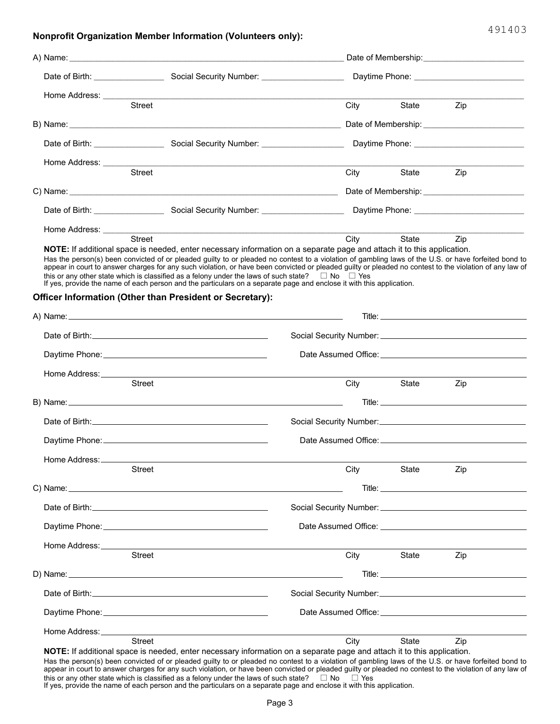#### **Nonprofit Organization Member Information (Volunteers only):**

|                              | A) Name: A contract the contract of the contract of the contract of the contract of the contract of the contract of the contract of the contract of the contract of the contract of the contract of the contract of the contra                                                                                                                                                                                                                                                                                                                        |             |       |                                                                                                                                                                                                                               |
|------------------------------|-------------------------------------------------------------------------------------------------------------------------------------------------------------------------------------------------------------------------------------------------------------------------------------------------------------------------------------------------------------------------------------------------------------------------------------------------------------------------------------------------------------------------------------------------------|-------------|-------|-------------------------------------------------------------------------------------------------------------------------------------------------------------------------------------------------------------------------------|
|                              |                                                                                                                                                                                                                                                                                                                                                                                                                                                                                                                                                       |             |       |                                                                                                                                                                                                                               |
|                              |                                                                                                                                                                                                                                                                                                                                                                                                                                                                                                                                                       |             |       |                                                                                                                                                                                                                               |
|                              | <b>Street</b>                                                                                                                                                                                                                                                                                                                                                                                                                                                                                                                                         | City        | State | Zip                                                                                                                                                                                                                           |
|                              |                                                                                                                                                                                                                                                                                                                                                                                                                                                                                                                                                       |             |       |                                                                                                                                                                                                                               |
|                              |                                                                                                                                                                                                                                                                                                                                                                                                                                                                                                                                                       |             |       |                                                                                                                                                                                                                               |
|                              | Street                                                                                                                                                                                                                                                                                                                                                                                                                                                                                                                                                |             |       |                                                                                                                                                                                                                               |
|                              |                                                                                                                                                                                                                                                                                                                                                                                                                                                                                                                                                       | City        | State | Zip                                                                                                                                                                                                                           |
|                              |                                                                                                                                                                                                                                                                                                                                                                                                                                                                                                                                                       |             |       |                                                                                                                                                                                                                               |
|                              |                                                                                                                                                                                                                                                                                                                                                                                                                                                                                                                                                       |             |       |                                                                                                                                                                                                                               |
|                              |                                                                                                                                                                                                                                                                                                                                                                                                                                                                                                                                                       |             |       |                                                                                                                                                                                                                               |
|                              | Street<br>NOTE: If additional space is needed, enter necessary information on a separate page and attach it to this application.                                                                                                                                                                                                                                                                                                                                                                                                                      | <b>City</b> | State | Zip                                                                                                                                                                                                                           |
|                              | Has the person(s) been convicted of or pleaded guilty to or pleaded no contest to a violation of gambling laws of the U.S. or have forfeited bond to<br>appear in court to answer charges for any such violation, or have been convicted or pleaded guilty or pleaded no contest to the violation of any law of<br>this or any other state which is classified as a felony under the laws of such state? $\Box$ No $\Box$ Yes<br>If yes, provide the name of each person and the particulars on a separate page and enclose it with this application. |             |       |                                                                                                                                                                                                                               |
|                              | Officer Information (Other than President or Secretary):                                                                                                                                                                                                                                                                                                                                                                                                                                                                                              |             |       |                                                                                                                                                                                                                               |
|                              |                                                                                                                                                                                                                                                                                                                                                                                                                                                                                                                                                       |             |       |                                                                                                                                                                                                                               |
|                              |                                                                                                                                                                                                                                                                                                                                                                                                                                                                                                                                                       |             |       | Social Security Number: Management Control of Social Security Number:                                                                                                                                                         |
|                              |                                                                                                                                                                                                                                                                                                                                                                                                                                                                                                                                                       |             |       | Date Assumed Office: University of the Assumed Contract of the Assumed Contract of the Assumed Contract of the                                                                                                                |
|                              |                                                                                                                                                                                                                                                                                                                                                                                                                                                                                                                                                       |             |       |                                                                                                                                                                                                                               |
|                              | <b>Street</b>                                                                                                                                                                                                                                                                                                                                                                                                                                                                                                                                         | City        | State | Zip                                                                                                                                                                                                                           |
|                              |                                                                                                                                                                                                                                                                                                                                                                                                                                                                                                                                                       |             |       |                                                                                                                                                                                                                               |
|                              |                                                                                                                                                                                                                                                                                                                                                                                                                                                                                                                                                       |             |       |                                                                                                                                                                                                                               |
|                              |                                                                                                                                                                                                                                                                                                                                                                                                                                                                                                                                                       |             |       |                                                                                                                                                                                                                               |
| Home Address:                |                                                                                                                                                                                                                                                                                                                                                                                                                                                                                                                                                       |             |       |                                                                                                                                                                                                                               |
|                              | <b>Street</b>                                                                                                                                                                                                                                                                                                                                                                                                                                                                                                                                         | City        | State | Zip                                                                                                                                                                                                                           |
|                              |                                                                                                                                                                                                                                                                                                                                                                                                                                                                                                                                                       |             |       |                                                                                                                                                                                                                               |
|                              |                                                                                                                                                                                                                                                                                                                                                                                                                                                                                                                                                       |             |       |                                                                                                                                                                                                                               |
|                              |                                                                                                                                                                                                                                                                                                                                                                                                                                                                                                                                                       |             |       | Date Assumed Office: National Assumed Contract of Contract of the Contract of Contract of Contract of Contract of Contract of Contract of Contract of Contract of Contract of Contract of Contract of Contract of Contract of |
| Home Address: ______________ | the control of the control of the control of the control of the control of the control of                                                                                                                                                                                                                                                                                                                                                                                                                                                             |             |       |                                                                                                                                                                                                                               |
|                              | <b>Street</b>                                                                                                                                                                                                                                                                                                                                                                                                                                                                                                                                         | City        | State | Zip                                                                                                                                                                                                                           |
|                              |                                                                                                                                                                                                                                                                                                                                                                                                                                                                                                                                                       |             |       |                                                                                                                                                                                                                               |
|                              |                                                                                                                                                                                                                                                                                                                                                                                                                                                                                                                                                       |             |       |                                                                                                                                                                                                                               |
|                              |                                                                                                                                                                                                                                                                                                                                                                                                                                                                                                                                                       |             |       |                                                                                                                                                                                                                               |
|                              |                                                                                                                                                                                                                                                                                                                                                                                                                                                                                                                                                       |             |       |                                                                                                                                                                                                                               |

**NOTE:** If additional space is needed, enter necessary information on a separate page and attach it to this application. Has the person(s) been convicted of or pleaded guilty to or pleaded no contest to a violation of gambling laws of the U.S. or have forfeited bond to

appear in court to answer charges for any such violation, or have been convicted or pleaded guilty or pleaded no contest to the violation of any law of<br>this or any other state which is classified as a felony under the law

| City                                                                                                                                                                                                                           |       |                                                                                                                                                                                                                                     |  |  |
|--------------------------------------------------------------------------------------------------------------------------------------------------------------------------------------------------------------------------------|-------|-------------------------------------------------------------------------------------------------------------------------------------------------------------------------------------------------------------------------------------|--|--|
|                                                                                                                                                                                                                                |       |                                                                                                                                                                                                                                     |  |  |
|                                                                                                                                                                                                                                |       |                                                                                                                                                                                                                                     |  |  |
|                                                                                                                                                                                                                                |       |                                                                                                                                                                                                                                     |  |  |
|                                                                                                                                                                                                                                | State | Zip                                                                                                                                                                                                                                 |  |  |
|                                                                                                                                                                                                                                |       |                                                                                                                                                                                                                                     |  |  |
|                                                                                                                                                                                                                                |       |                                                                                                                                                                                                                                     |  |  |
|                                                                                                                                                                                                                                |       |                                                                                                                                                                                                                                     |  |  |
|                                                                                                                                                                                                                                |       |                                                                                                                                                                                                                                     |  |  |
| City                                                                                                                                                                                                                           | State | Zip                                                                                                                                                                                                                                 |  |  |
|                                                                                                                                                                                                                                |       |                                                                                                                                                                                                                                     |  |  |
|                                                                                                                                                                                                                                |       |                                                                                                                                                                                                                                     |  |  |
|                                                                                                                                                                                                                                |       |                                                                                                                                                                                                                                     |  |  |
|                                                                                                                                                                                                                                |       |                                                                                                                                                                                                                                     |  |  |
| City                                                                                                                                                                                                                           | State | Zip                                                                                                                                                                                                                                 |  |  |
|                                                                                                                                                                                                                                |       | <b>Title:</b> The contract of the contract of the contract of the contract of the contract of the contract of the contract of the contract of the contract of the contract of the contract of the contract of the contract of the c |  |  |
|                                                                                                                                                                                                                                |       |                                                                                                                                                                                                                                     |  |  |
| Date Assumed Office: New York Changes and Changes and Changes and Changes and Changes and Changes and Changes and Changes and Changes and Changes and Changes and Changes and Changes and Changes and Changes and Changes and  |       |                                                                                                                                                                                                                                     |  |  |
|                                                                                                                                                                                                                                |       |                                                                                                                                                                                                                                     |  |  |
|                                                                                                                                                                                                                                | State | Zip                                                                                                                                                                                                                                 |  |  |
| Home Address: University of the Address of the Address of the Address of the Address of the Address of the Address of the Address of the Address of the Address of the Address of the Address of the Address of the Address of | City  |                                                                                                                                                                                                                                     |  |  |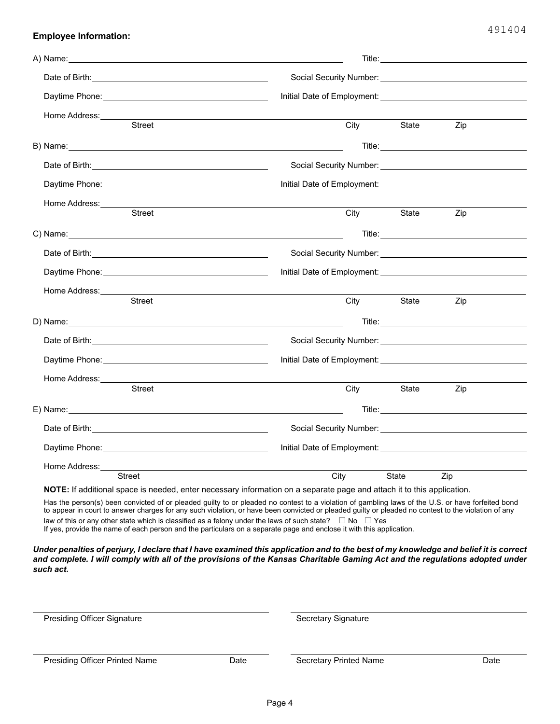| Home Address:__________<br><b>Street</b>                                                                                                                                                                                             | City                                                                             | State | Zip                                                                                                             |  |  |
|--------------------------------------------------------------------------------------------------------------------------------------------------------------------------------------------------------------------------------------|----------------------------------------------------------------------------------|-------|-----------------------------------------------------------------------------------------------------------------|--|--|
|                                                                                                                                                                                                                                      |                                                                                  |       |                                                                                                                 |  |  |
| B) Name: 2008 Contract Contract Contract Contract Contract Contract Contract Contract Contract Contract Contract Contract Contract Contract Contract Contract Contract Contract Contract Contract Contract Contract Contract C       |                                                                                  |       |                                                                                                                 |  |  |
|                                                                                                                                                                                                                                      |                                                                                  |       |                                                                                                                 |  |  |
|                                                                                                                                                                                                                                      |                                                                                  |       |                                                                                                                 |  |  |
| Home Address: <u>Committee Committee and Committee Committee Committee Committee Committee Committee Committee Committee Committee Committee Committee Committee Committee Committee Committee Committee Committee Committee Com</u> |                                                                                  |       |                                                                                                                 |  |  |
| <b>Street</b>                                                                                                                                                                                                                        | City                                                                             | State | Zip                                                                                                             |  |  |
|                                                                                                                                                                                                                                      |                                                                                  |       | Title: The Commission of the Commission of the Commission of the Commission of the Commission of the Commission |  |  |
|                                                                                                                                                                                                                                      |                                                                                  |       |                                                                                                                 |  |  |
|                                                                                                                                                                                                                                      |                                                                                  |       |                                                                                                                 |  |  |
| Home Address:_________                                                                                                                                                                                                               |                                                                                  |       |                                                                                                                 |  |  |
| Street                                                                                                                                                                                                                               | City                                                                             | State | Zip                                                                                                             |  |  |
|                                                                                                                                                                                                                                      |                                                                                  |       | Title: The Commission of the Commission of the Commission of the Commission of the Commission of the Commission |  |  |
|                                                                                                                                                                                                                                      |                                                                                  |       |                                                                                                                 |  |  |
|                                                                                                                                                                                                                                      |                                                                                  |       |                                                                                                                 |  |  |
|                                                                                                                                                                                                                                      |                                                                                  |       |                                                                                                                 |  |  |
| <b>Street</b>                                                                                                                                                                                                                        | City                                                                             | State | Zip                                                                                                             |  |  |
| E) Name: with a state of the state of the state of the state of the state of the state of the state of the state of the state of the state of the state of the state of the state of the state of the state of the state of th       |                                                                                  |       | Title: <b>The Community of the Community of the Community</b>                                                   |  |  |
|                                                                                                                                                                                                                                      | Social Security Number: Social Security Number:                                  |       |                                                                                                                 |  |  |
|                                                                                                                                                                                                                                      |                                                                                  |       |                                                                                                                 |  |  |
| Home Address:                                                                                                                                                                                                                        |                                                                                  |       |                                                                                                                 |  |  |
| Street<br>$10.77$ , if additional and a formation and additional and annual information and a second                                                                                                                                 | City<br>the company of the state of the first state of the state of the state of | State | Zip                                                                                                             |  |  |

**NOTE:** If additional space is needed, enter necessary information on a separate page and attach it to this application.

law of this or any other state which is classified as a felony under the laws of such state?  $\;\;\Box$  No  $\;\;\Box$  Yes Has the person(s) been convicted of or pleaded guilty to or pleaded no contest to a violation of gambling laws of the U.S. or have forfeited bond to appear in court to answer charges for any such violation, or have been convicted or pleaded guilty or pleaded no contest to the violation of any If yes, provide the name of each person and the particulars on a separate page and enclose it with this application.

*Under penalties of perjury, I declare that I have examined this application and to the best of my knowledge and belief it is correct and complete. I will comply with all of the provisions of the Kansas Charitable Gaming Act and the regulations adopted under such act.*

| <b>Presiding Officer Signature</b>    |      | Secretary Signature    |      |  |  |
|---------------------------------------|------|------------------------|------|--|--|
| <b>Presiding Officer Printed Name</b> | Date | Secretary Printed Name | Date |  |  |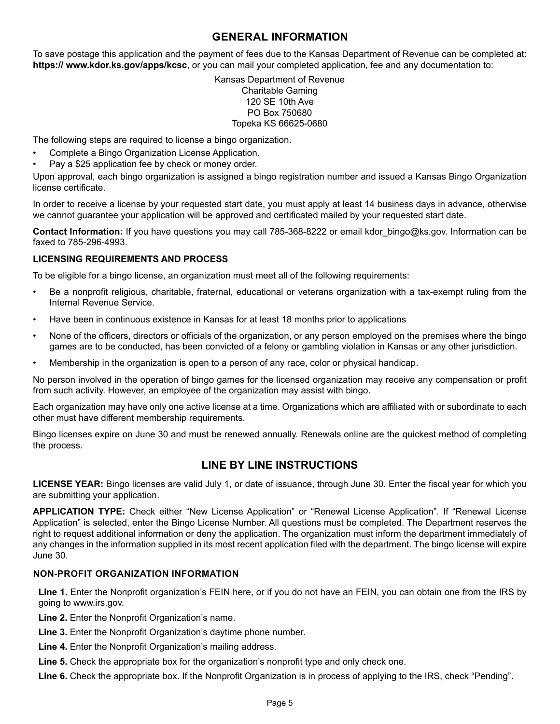## **GENERAL INFORMATION**

To save postage this application and the payment of fees due to the Kansas Department of Revenue can be completed at: **https:// www.kdor.ks.gov/apps/kcsc**, or you can mail your completed application, fee and any documentation to:

### Kansas Department of Revenue Charitable Gaming 120 SE 10th Ave PO Box 750680 Topeka KS 66625-0680

The following steps are required to license a bingo organization.

- Complete a Bingo Organization License Application.
- Pay a \$25 application fee by check or money order.

Upon approval, each bingo organization is assigned a bingo registration number and issued a Kansas Bingo Organization license certificate.

In order to receive a license by your requested start date, you must apply at least 14 business days in advance, otherwise we cannot guarantee your application will be approved and certificated mailed by your requested start date.

**Contact Information:** If you have questions you may call 785-368-8222 or email kdor\_bingo@ks.gov. Information can be faxed to 785-296-4993.

## **LICENSING REQUIREMENTS AND PROCESS**

To be eligible for a bingo license, an organization must meet all of the following requirements:

- Be a nonprofit religious, charitable, fraternal, educational or veterans organization with a tax-exempt ruling from the Internal Revenue Service.
- Have been in continuous existence in Kansas for at least 18 months prior to applications
- None of the officers, directors or officials of the organization, or any person employed on the premises where the bingo games are to be conducted, has been convicted of a felony or gambling violation in Kansas or any other jurisdiction.
- Membership in the organization is open to a person of any race, color or physical handicap.

No person involved in the operation of bingo games for the licensed organization may receive any compensation or profit from such activity. However, an employee of the organization may assist with bingo.

Each organization may have only one active license at a time. Organizations which are affiliated with or subordinate to each other must have different membership requirements.

Bingo licenses expire on June 30 and must be renewed annually. Renewals online are the quickest method of completing the process.

## **LINE BY LINE INSTRUCTIONS**

**LICENSE YEAR:** Bingo licenses are valid July 1, or date of issuance, through June 30. Enter the fiscal year for which you are submitting your application.

**APPLICATION TYPE:** Check either "New License Application" or "Renewal License Application". If "Renewal License Application" is selected, enter the Bingo License Number. All questions must be completed. The Department reserves the right to request additional information or deny the application. The organization must inform the department immediately of any changes in the information supplied in its most recent application filed with the department. The bingo license will expire June 30.

### **NON-PROFIT ORGANIZATION INFORMATION**

**Line 1.** Enter the Nonprofit organization's FEIN here, or if you do not have an FEIN, you can obtain one from the IRS by going to www.irs.gov.

**Line 2.** Enter the Nonprofit Organization's name.

**Line 3.** Enter the Nonprofit Organization's daytime phone number.

Line 4. Enter the Nonprofit Organization's mailing address.

**Line 5.** Check the appropriate box for the organization's nonprofit type and only check one.

**Line 6.** Check the appropriate box. If the Nonprofit Organization is in process of applying to the IRS, check "Pending".